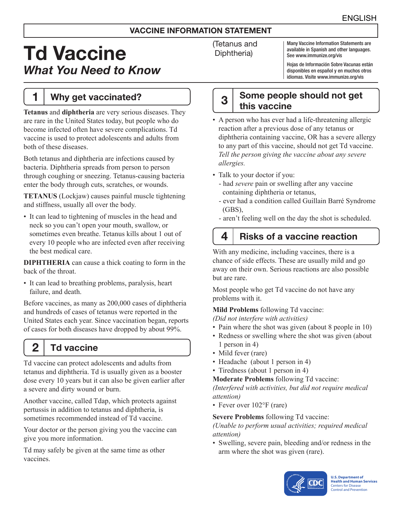### VACCINE INFORMATION STATEMENT

# Td Vaccine *What You Need to Know*

# 1 | Why get vaccinated?

**Tetanus** and **diphtheria** are very serious diseases. They are rare in the United States today, but people who do become infected often have severe complications. Td vaccine is used to protect adolescents and adults from both of these diseases.

Both tetanus and diphtheria are infections caused by bacteria. Diphtheria spreads from person to person through coughing or sneezing. Tetanus-causing bacteria enter the body through cuts, scratches, or wounds.

**TETANUS** (Lockjaw) causes painful muscle tightening and stiffness, usually all over the body.

• It can lead to tightening of muscles in the head and neck so you can't open your mouth, swallow, or sometimes even breathe. Tetanus kills about 1 out of every 10 people who are infected even after receiving the best medical care.

**DIPHTHERIA** can cause a thick coating to form in the back of the throat.

• It can lead to breathing problems, paralysis, heart failure, and death.

Before vaccines, as many as 200,000 cases of diphtheria and hundreds of cases of tetanus were reported in the United States each year. Since vaccination began, reports of cases for both diseases have dropped by about 99%.

# $2<sup>1</sup>$  Td vaccine

Td vaccine can protect adolescents and adults from tetanus and diphtheria. Td is usually given as a booster dose every 10 years but it can also be given earlier after a severe and dirty wound or burn.

Another vaccine, called Tdap, which protects against pertussis in addition to tetanus and diphtheria, is sometimes recommended instead of Td vaccine.

Your doctor or the person giving you the vaccine can give you more information.

Td may safely be given at the same time as other vaccines.

(Tetanus and Diphtheria)

Many Vaccine Information Statements are available in Spanish and other languages. See [www.immunize.org/vis](http://www.immunize.org/vis)

Hojas de Información Sobre Vacunas están disponibles en español y en muchos otros idiomas. Visite [www.immunize.org/vis](http://www.immunize.org/vis)

# $3<sup>3</sup>$  Some people should not get this vaccine

- A person who has ever had a life-threatening allergic reaction after a previous dose of any tetanus or diphtheria containing vaccine, OR has a severe allergy to any part of this vaccine, should not get Td vaccine. *Tell the person giving the vaccine about any severe allergies.*
- Talk to your doctor if you:
	- had *severe* pain or swelling after any vaccine containing diphtheria or tetanus,
	- ever had a condition called Guillain Barré Syndrome (GBS),
	- aren't feeling well on the day the shot is scheduled.

# $4$  | Risks of a vaccine reaction

With any medicine, including vaccines, there is a chance of side effects. These are usually mild and go away on their own. Serious reactions are also possible but are rare.

Most people who get Td vaccine do not have any problems with it.

**Mild Problems** following Td vaccine:

*(Did not interfere with activities)*

- Pain where the shot was given (about 8 people in 10)
- Redness or swelling where the shot was given (about 1 person in 4)
- Mild fever (rare)
- Headache (about 1 person in 4)
- Tiredness (about 1 person in 4)

**Moderate Problems** following Td vaccine:

*(Interfered with activities, but did not require medical attention)*

• Fever over 102°F (rare)

#### **Severe Problems** following Td vaccine:

*(Unable to perform usual activities; required medical attention)*

• Swelling, severe pain, bleeding and/or redness in the arm where the shot was given (rare).



**U.S. Department of Health and Human Services**  Centers for Disease Control and Prevention